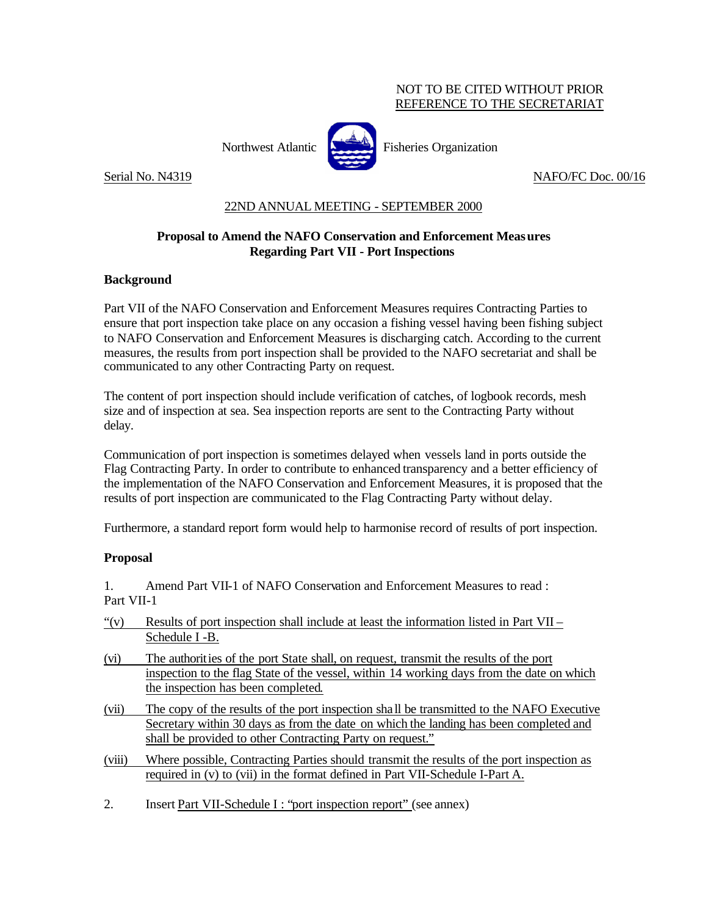### NOT TO BE CITED WITHOUT PRIOR REFERENCE TO THE SECRETARIAT



Northwest Atlantic **Northus** Fisheries Organization

Serial No. N4319 NAFO/FC Doc. 00/16

## 22ND ANNUAL MEETING - SEPTEMBER 2000

### **Proposal to Amend the NAFO Conservation and Enforcement Measures Regarding Part VII - Port Inspections**

### **Background**

Part VII of the NAFO Conservation and Enforcement Measures requires Contracting Parties to ensure that port inspection take place on any occasion a fishing vessel having been fishing subject to NAFO Conservation and Enforcement Measures is discharging catch. According to the current measures, the results from port inspection shall be provided to the NAFO secretariat and shall be communicated to any other Contracting Party on request.

The content of port inspection should include verification of catches, of logbook records, mesh size and of inspection at sea. Sea inspection reports are sent to the Contracting Party without delay.

Communication of port inspection is sometimes delayed when vessels land in ports outside the Flag Contracting Party. In order to contribute to enhanced transparency and a better efficiency of the implementation of the NAFO Conservation and Enforcement Measures, it is proposed that the results of port inspection are communicated to the Flag Contracting Party without delay.

Furthermore, a standard report form would help to harmonise record of results of port inspection.

#### **Proposal**

1. Amend Part VII-1 of NAFO Conservation and Enforcement Measures to read : Part VII-1

- "(v) Results of port inspection shall include at least the information listed in Part VII Schedule I -B.
- (vi) The authorities of the port State shall, on request*,* transmit the results of the port inspection to the flag State of the vessel, within 14 working days from the date on which the inspection has been completed.
- (vii) The copy of the results of the port inspection sha ll be transmitted to the NAFO Executive Secretary within 30 days as from the date on which the landing has been completed and shall be provided to other Contracting Party on request."
- (viii) Where possible, Contracting Parties should transmit the results of the port inspection as required in (v) to (vii) in the format defined in Part VII-Schedule I-Part A.
- 2. Insert Part VII-Schedule I : "port inspection report" (see annex)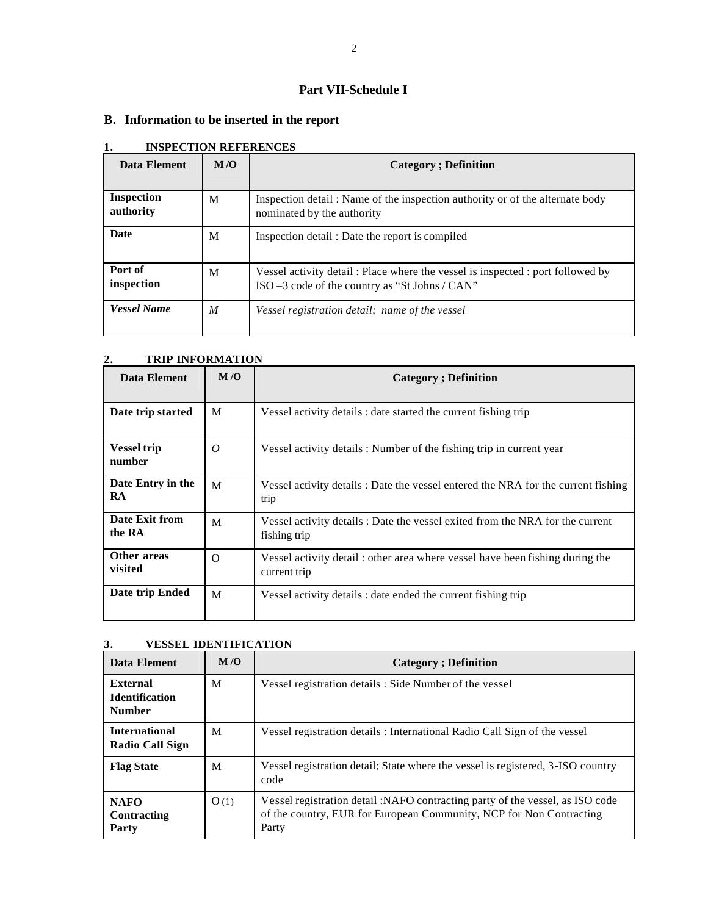### **Part VII-Schedule I**

## **B. Information to be inserted in the report**

| Data Element            | M/O | <b>Category</b> ; Definition                                                                                                      |
|-------------------------|-----|-----------------------------------------------------------------------------------------------------------------------------------|
| Inspection<br>authority | M   | Inspection detail : Name of the inspection authority or of the alternate body<br>nominated by the authority                       |
| <b>Date</b>             | M   | Inspection detail: Date the report is compiled                                                                                    |
| Port of<br>inspection   | M   | Vessel activity detail: Place where the vessel is inspected: port followed by<br>ISO $-3$ code of the country as "St Johns / CAN" |
| <b>Vessel Name</b>      | M   | Vessel registration detail; name of the vessel                                                                                    |

### **1. INSPECTION REFERENCES**

#### **2. TRIP INFORMATION**

| Data Element                   | M/O      | <b>Category</b> ; Definition                                                                  |
|--------------------------------|----------|-----------------------------------------------------------------------------------------------|
| Date trip started              | M        | Vessel activity details : date started the current fishing trip                               |
| <b>Vessel trip</b><br>number   | $\theta$ | Vessel activity details: Number of the fishing trip in current year                           |
| Date Entry in the<br><b>RA</b> | M        | Vessel activity details : Date the vessel entered the NRA for the current fishing<br>trip     |
| Date Exit from<br>the RA       | M        | Vessel activity details : Date the vessel exited from the NRA for the current<br>fishing trip |
| Other areas<br>visited         | $\Omega$ | Vessel activity detail: other area where vessel have been fishing during the<br>current trip  |
| Date trip Ended                | M        | Vessel activity details : date ended the current fishing trip                                 |

#### **3. VESSEL IDENTIFICATION**

| Data Element                                       | M/O  | <b>Category</b> ; Definition                                                                                                                                  |
|----------------------------------------------------|------|---------------------------------------------------------------------------------------------------------------------------------------------------------------|
| External<br><b>Identification</b><br><b>Number</b> | M    | Vessel registration details: Side Number of the vessel                                                                                                        |
| <b>International</b><br><b>Radio Call Sign</b>     | M    | Vessel registration details: International Radio Call Sign of the vessel                                                                                      |
| <b>Flag State</b>                                  | M    | Vessel registration detail; State where the vessel is registered, 3-ISO country<br>code                                                                       |
| <b>NAFO</b><br>Contracting<br>Party                | O(1) | Vessel registration detail :NAFO contracting party of the vessel, as ISO code<br>of the country, EUR for European Community, NCP for Non Contracting<br>Party |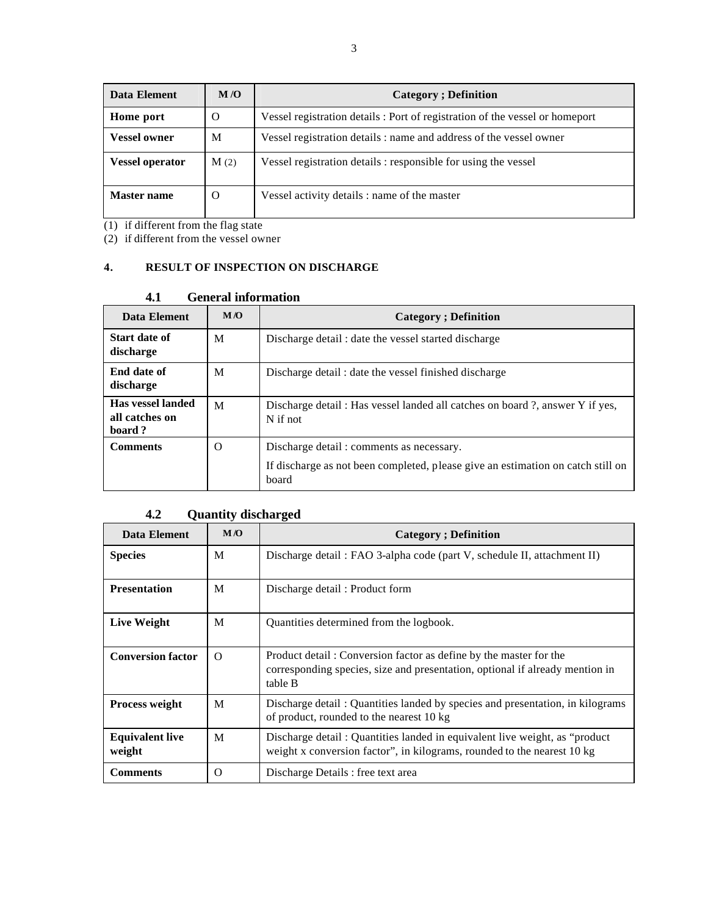| Data Element           | M/O  | <b>Category</b> ; Definition                                                |
|------------------------|------|-----------------------------------------------------------------------------|
| Home port              | O    | Vessel registration details: Port of registration of the vessel or homeport |
| <b>Vessel owner</b>    | M    | Vessel registration details : name and address of the vessel owner          |
| <b>Vessel operator</b> | M(2) | Vessel registration details: responsible for using the vessel               |
| <b>Master name</b>     | O    | Vessel activity details : name of the master                                |

(1) if different from the flag state

(2) if different from the vessel owner

### **4. RESULT OF INSPECTION ON DISCHARGE**

#### **4.1 General information**

| Data Element                                  | M <sub>0</sub> | <b>Category</b> ; Definition                                                                                                         |
|-----------------------------------------------|----------------|--------------------------------------------------------------------------------------------------------------------------------------|
| Start date of<br>discharge                    | M              | Discharge detail: date the vessel started discharge                                                                                  |
| End date of<br>discharge                      | M              | Discharge detail: date the vessel finished discharge                                                                                 |
| Has vessel landed<br>all catches on<br>board? | M              | Discharge detail: Has vessel landed all catches on board?, answer Y if yes,<br>$N$ if not                                            |
| <b>Comments</b>                               | $\Omega$       | Discharge detail: comments as necessary.<br>If discharge as not been completed, please give an estimation on catch still on<br>board |

## **4.2 Quantity discharged**

| Data Element                     | M/O      | <b>Category</b> ; Definition                                                                                                                                 |  |
|----------------------------------|----------|--------------------------------------------------------------------------------------------------------------------------------------------------------------|--|
| <b>Species</b>                   | M        | Discharge detail: FAO 3-alpha code (part V, schedule II, attachment II)                                                                                      |  |
| <b>Presentation</b>              | M        | Discharge detail: Product form                                                                                                                               |  |
| Live Weight                      | M        | Quantities determined from the logbook.                                                                                                                      |  |
| <b>Conversion factor</b>         | $\Omega$ | Product detail: Conversion factor as define by the master for the<br>corresponding species, size and presentation, optional if already mention in<br>table B |  |
| <b>Process weight</b>            | M        | Discharge detail: Quantities landed by species and presentation, in kilograms<br>of product, rounded to the nearest 10 kg                                    |  |
| <b>Equivalent live</b><br>weight | M        | Discharge detail: Quantities landed in equivalent live weight, as "product"<br>weight x conversion factor", in kilograms, rounded to the nearest 10 kg       |  |
| <b>Comments</b>                  | $\Omega$ | Discharge Details : free text area                                                                                                                           |  |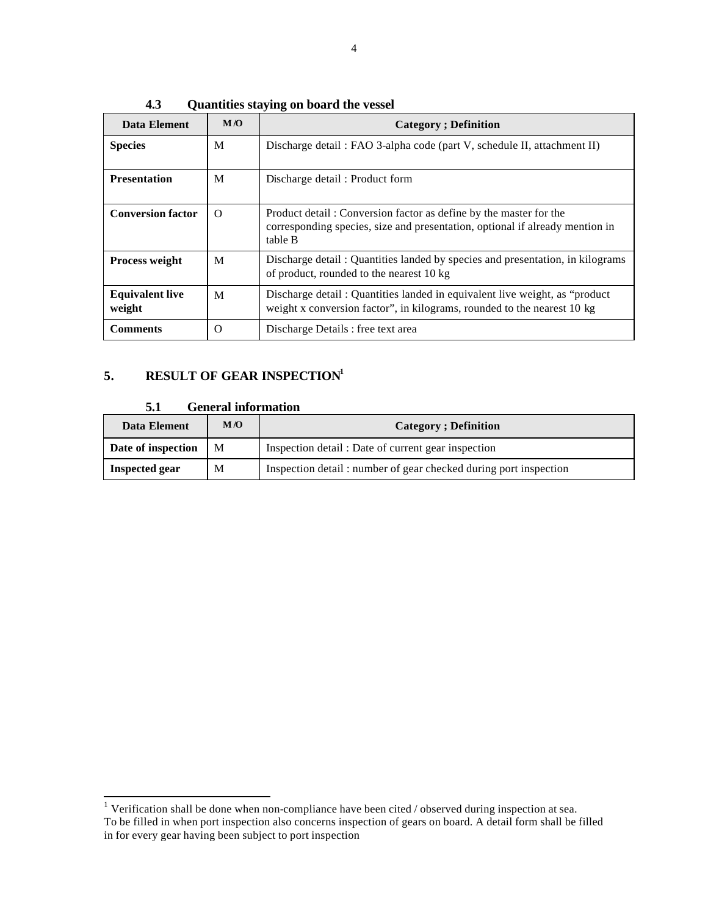| <b>Data Element</b>              | M/O      | <b>Category</b> ; Definition                                                                                                                                 |
|----------------------------------|----------|--------------------------------------------------------------------------------------------------------------------------------------------------------------|
| <b>Species</b>                   | M        | Discharge detail: FAO 3-alpha code (part V, schedule II, attachment II)                                                                                      |
| <b>Presentation</b>              | M        | Discharge detail: Product form                                                                                                                               |
| <b>Conversion factor</b>         | $\Omega$ | Product detail: Conversion factor as define by the master for the<br>corresponding species, size and presentation, optional if already mention in<br>table B |
| <b>Process weight</b>            | M        | Discharge detail: Quantities landed by species and presentation, in kilograms<br>of product, rounded to the nearest 10 kg                                    |
| <b>Equivalent live</b><br>weight | M        | Discharge detail: Quantities landed in equivalent live weight, as "product"<br>weight x conversion factor", in kilograms, rounded to the nearest 10 kg       |
| <b>Comments</b>                  | O        | Discharge Details : free text area                                                                                                                           |

**4.3 Quantities staying on board the vessel**

# **5. RESULT OF GEAR INSPECTION<sup>1</sup>**

#### **5.1 General information**

| Data Element          | M/O | <b>Category</b> ; Definition                                     |  |
|-----------------------|-----|------------------------------------------------------------------|--|
| Date of inspection    | М   | Inspection detail : Date of current gear inspection              |  |
| <b>Inspected gear</b> | М   | Inspection detail: number of gear checked during port inspection |  |

 1 Verification shall be done when non-compliance have been cited / observed during inspection at sea. To be filled in when port inspection also concerns inspection of gears on board. A detail form shall be filled in for every gear having been subject to port inspection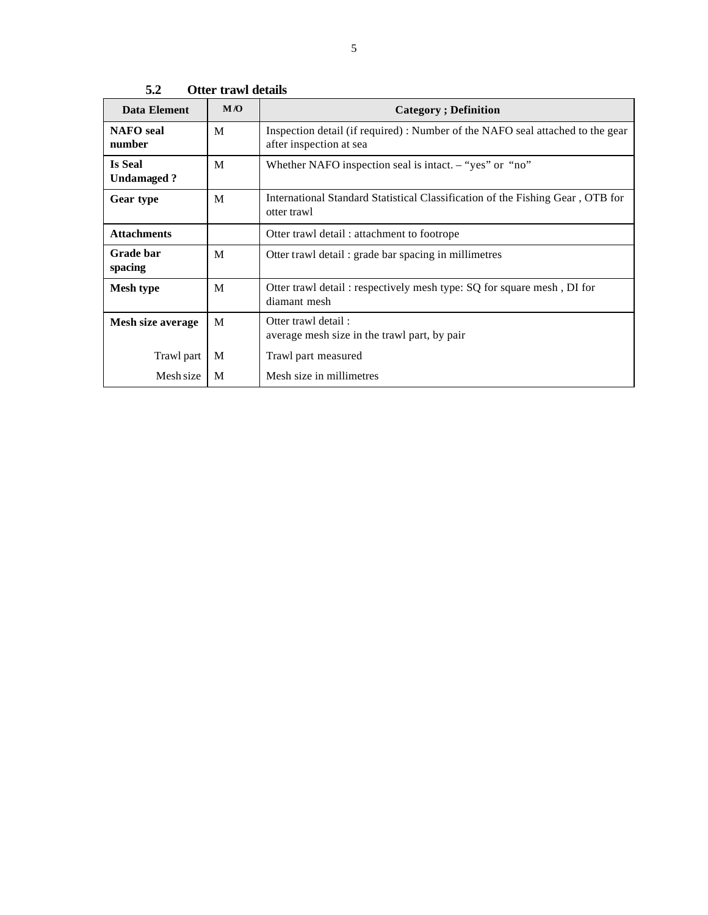| Data Element                 | M/O | <b>Category</b> ; Definition                                                                             |  |
|------------------------------|-----|----------------------------------------------------------------------------------------------------------|--|
| <b>NAFO</b> seal<br>number   | M   | Inspection detail (if required): Number of the NAFO seal attached to the gear<br>after inspection at sea |  |
| <b>Is Seal</b><br>Undamaged? | M   | Whether NAFO inspection seal is intact. $-$ "yes" or "no"                                                |  |
| Gear type                    | M   | International Standard Statistical Classification of the Fishing Gear, OTB for<br>otter trawl            |  |
| <b>Attachments</b>           |     | Otter trawl detail: attachment to footrope                                                               |  |
| Grade bar<br>spacing         | M   | Otter trawl detail : grade bar spacing in millimetres                                                    |  |
| <b>Mesh type</b>             | M   | Otter trawl detail: respectively mesh type: SQ for square mesh, DI for<br>diamant mesh                   |  |
| Mesh size average            | M   | Otter trawl detail:<br>average mesh size in the trawl part, by pair                                      |  |
| Trawl part                   | M   | Trawl part measured                                                                                      |  |
| Mesh size                    | M   | Mesh size in millimetres                                                                                 |  |

**5.2 Otter trawl details**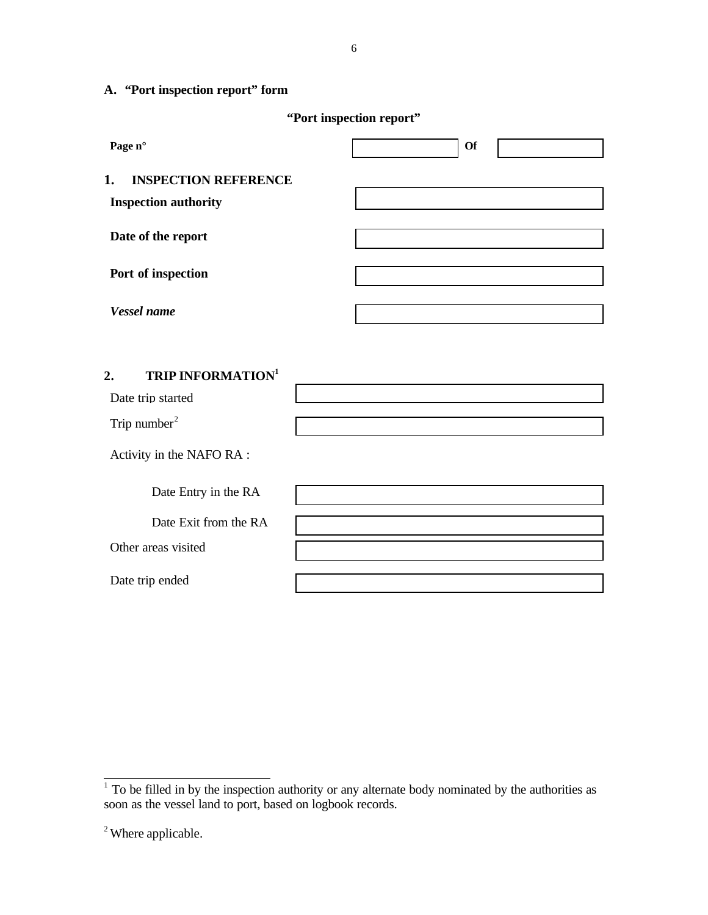# **A. "Port inspection report" form**

|  | "Port inspection report" |  |
|--|--------------------------|--|
|--|--------------------------|--|

6

| Page n°                                                          | <b>Of</b> |
|------------------------------------------------------------------|-----------|
| 1.<br><b>INSPECTION REFERENCE</b><br><b>Inspection authority</b> |           |
| Date of the report                                               |           |
| Port of inspection                                               |           |
| Vessel name                                                      |           |
| <b>TRIP INFORMATION<sup>1</sup></b><br>2.<br>Date trip started   |           |
| Trip number <sup>2</sup>                                         |           |
| Activity in the NAFO RA :                                        |           |

| Date Entry in the RA  |  |
|-----------------------|--|
| Date Exit from the RA |  |
| Other areas visited   |  |
| Date trip ended       |  |

<sup>&</sup>lt;sup>1</sup> To be filled in by the inspection authority or any alternate body nominated by the authorities as soon as the vessel land to port, based on logbook records.

<sup>&</sup>lt;sup>2</sup> Where applicable.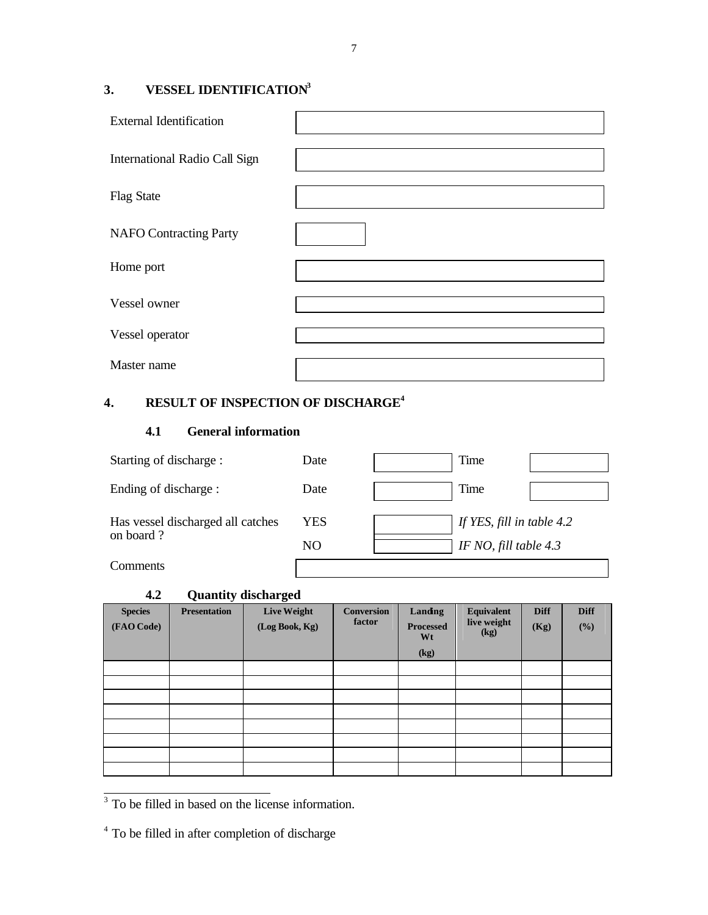# **3. VESSEL IDENTIFICATION<sup>3</sup>**

| <b>External Identification</b> |  |
|--------------------------------|--|
| International Radio Call Sign  |  |
| <b>Flag State</b>              |  |
| <b>NAFO</b> Contracting Party  |  |
| Home port                      |  |
| Vessel owner                   |  |
| Vessel operator                |  |
| Master name                    |  |

# **4. RESULT OF INSPECTION OF DISCHARGE<sup>4</sup>**

### **4.1 General information**

| Starting of discharge :                        | Date | Time                      |  |  |
|------------------------------------------------|------|---------------------------|--|--|
| Ending of discharge :                          | Date | Time                      |  |  |
| Has vessel discharged all catches<br>on board? | YES  | If YES, fill in table 4.2 |  |  |
|                                                | NO   | IF NO, fill table $4.3$   |  |  |
| Comments                                       |      |                           |  |  |

### **4.2 Quantity discharged**

| ---                          |                     | zaanac, abenar zea                   |                             |                                   |                                          |                     |                    |
|------------------------------|---------------------|--------------------------------------|-----------------------------|-----------------------------------|------------------------------------------|---------------------|--------------------|
| <b>Species</b><br>(FAO Code) | <b>Presentation</b> | <b>Live Weight</b><br>(Log Book, Kg) | <b>Conversion</b><br>factor | Landing<br><b>Processed</b><br>Wt | <b>Equivalent</b><br>live weight<br>(kg) | <b>Diff</b><br>(Kg) | <b>Diff</b><br>(%) |
|                              |                     |                                      |                             | (kg)                              |                                          |                     |                    |
|                              |                     |                                      |                             |                                   |                                          |                     |                    |
|                              |                     |                                      |                             |                                   |                                          |                     |                    |
|                              |                     |                                      |                             |                                   |                                          |                     |                    |
|                              |                     |                                      |                             |                                   |                                          |                     |                    |
|                              |                     |                                      |                             |                                   |                                          |                     |                    |
|                              |                     |                                      |                             |                                   |                                          |                     |                    |
|                              |                     |                                      |                             |                                   |                                          |                     |                    |
|                              |                     |                                      |                             |                                   |                                          |                     |                    |

<sup>3</sup> To be filled in based on the license information.

<sup>&</sup>lt;sup>4</sup> To be filled in after completion of discharge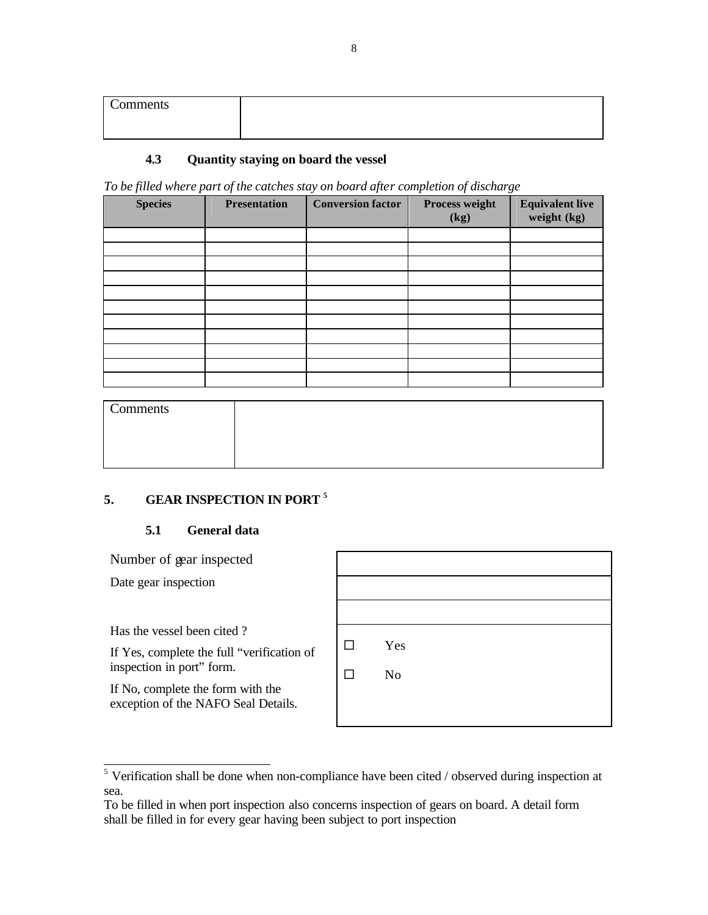| Comments |  |
|----------|--|
|          |  |

### **4.3 Quantity staying on board the vessel**

*To be filled where part of the catches stay on board after completion of discharge*

| <b>Species</b> | <b>Presentation</b> | <b>Conversion factor</b> | Process weight<br>(kg) | <b>Equivalent live</b><br>weight (kg) |
|----------------|---------------------|--------------------------|------------------------|---------------------------------------|
|                |                     |                          |                        |                                       |
|                |                     |                          |                        |                                       |
|                |                     |                          |                        |                                       |
|                |                     |                          |                        |                                       |
|                |                     |                          |                        |                                       |
|                |                     |                          |                        |                                       |
|                |                     |                          |                        |                                       |
|                |                     |                          |                        |                                       |
|                |                     |                          |                        |                                       |
|                |                     |                          |                        |                                       |
|                |                     |                          |                        |                                       |

| Comments |  |
|----------|--|
|          |  |
|          |  |
|          |  |

## **5. GEAR INSPECTION IN PORT <sup>5</sup>**

### **5.1 General data**

Number of gear inspected

Date gear inspection

Has the vessel been cited ?

If Yes, complete the full "verification of inspection in port" form.

If No, complete the form with the exception of the NAFO Seal Details.

| □  | Yes |  |  |
|----|-----|--|--|
| ΙI | No  |  |  |
|    |     |  |  |
|    |     |  |  |

<sup>&</sup>lt;sup>5</sup> Verification shall be done when non-compliance have been cited / observed during inspection at sea.

To be filled in when port inspection also concerns inspection of gears on board. A detail form shall be filled in for every gear having been subject to port inspection